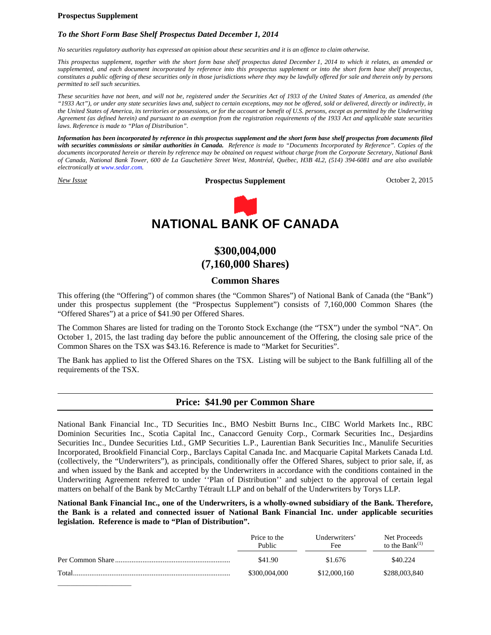# **Prospectus Supplement**

# *To the Short Form Base Shelf Prospectus Dated December 1, 2014*

*No securities regulatory authority has expressed an opinion about these securities and it is an offence to claim otherwise.*

*This prospectus supplement, together with the short form base shelf prospectus dated December 1, 2014 to which it relates, as amended or supplemented, and each document incorporated by reference into this prospectus supplement or into the short form base shelf prospectus, constitutes a public offering of these securities only in those jurisdictions where they may be lawfully offered for sale and therein only by persons permitted to sell such securities.*

*These securities have not been, and will not be, registered under the Securities Act of 1933 of the United States of America, as amended (the "1933 Act"), or under any state securities laws and, subject to certain exceptions, may not be offered, sold or delivered, directly or indirectly, in the United States of America, its territories or possessions, or for the account or benefit of U.S. persons, except as permitted by the Underwriting Agreement (as defined herein) and pursuant to an exemption from the registration requirements of the 1933 Act and applicable state securities laws. Reference is made to "Plan of Distribution".*

*Information has been incorporated by reference in this prospectus supplement and the short form base shelf prospectus from documents filed with securities commissions or similar authorities in Canada. Reference is made to "Documents Incorporated by Reference". Copies of the documents incorporated herein or therein by reference may be obtained on request without charge from the Corporate Secretary, National Bank of Canada, National Bank Tower, 600 de La Gauchetière Street West, Montréal, Québec, H3B 4L2, (514) 394-6081 and are also available electronically at www.sedar.com.*

*New Issue* **Prospectus Supplement** October 2, 2015



# **\$300,004,000 (7,160,000 Shares)**

# **Common Shares**

This offering (the "Offering") of common shares (the "Common Shares") of National Bank of Canada (the "Bank") under this prospectus supplement (the "Prospectus Supplement") consists of 7,160,000 Common Shares (the "Offered Shares") at a price of \$41.90 per Offered Shares.

The Common Shares are listed for trading on the Toronto Stock Exchange (the "TSX") under the symbol "NA". On October 1, 2015, the last trading day before the public announcement of the Offering, the closing sale price of the Common Shares on the TSX was \$43.16. Reference is made to "Market for Securities".

The Bank has applied to list the Offered Shares on the TSX. Listing will be subject to the Bank fulfilling all of the requirements of the TSX.

# **Price: \$41.90 per Common Share**

National Bank Financial Inc., TD Securities Inc., BMO Nesbitt Burns Inc., CIBC World Markets Inc., RBC Dominion Securities Inc., Scotia Capital Inc., Canaccord Genuity Corp., Cormark Securities Inc., Desjardins Securities Inc., Dundee Securities Ltd., GMP Securities L.P., Laurentian Bank Securities Inc., Manulife Securities Incorporated, Brookfield Financial Corp., Barclays Capital Canada Inc. and Macquarie Capital Markets Canada Ltd. (collectively, the "Underwriters"), as principals, conditionally offer the Offered Shares, subject to prior sale, if, as and when issued by the Bank and accepted by the Underwriters in accordance with the conditions contained in the Underwriting Agreement referred to under ''Plan of Distribution'' and subject to the approval of certain legal matters on behalf of the Bank by McCarthy Tétrault LLP and on behalf of the Underwriters by Torys LLP.

**National Bank Financial Inc., one of the Underwriters, is a wholly-owned subsidiary of the Bank. Therefore, the Bank is a related and connected issuer of National Bank Financial Inc. under applicable securities legislation. Reference is made to "Plan of Distribution".**

|        | Price to the<br>Public | Underwriters'<br>Fee | Net Proceeds<br>to the Bank $^{(1)}$ |
|--------|------------------------|----------------------|--------------------------------------|
|        | \$41.90                | \$1.676              | \$40.224                             |
| Total. | \$300,004,000          | \$12,000,160         | \$288,003,840                        |
|        |                        |                      |                                      |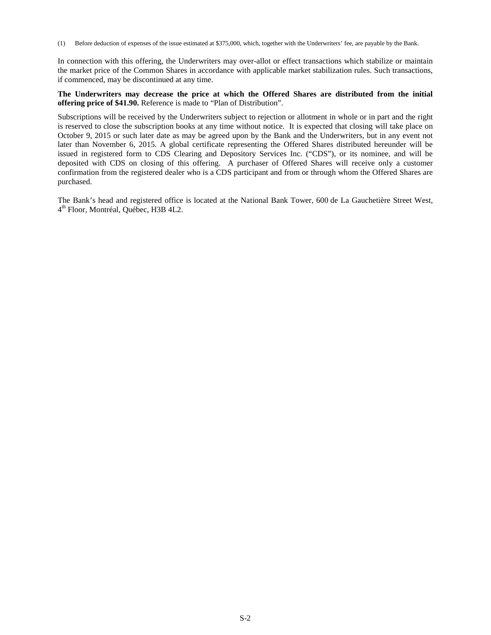(1) Before deduction of expenses of the issue estimated at \$375,000, which, together with the Underwriters' fee, are payable by the Bank.

In connection with this offering, the Underwriters may over-allot or effect transactions which stabilize or maintain the market price of the Common Shares in accordance with applicable market stabilization rules. Such transactions, if commenced, may be discontinued at any time.

# **The Underwriters may decrease the price at which the Offered Shares are distributed from the initial offering price of \$41.90.** Reference is made to "Plan of Distribution".

Subscriptions will be received by the Underwriters subject to rejection or allotment in whole or in part and the right is reserved to close the subscription books at any time without notice. It is expected that closing will take place on October 9, 2015 or such later date as may be agreed upon by the Bank and the Underwriters, but in any event not later than November 6, 2015. A global certificate representing the Offered Shares distributed hereunder will be issued in registered form to CDS Clearing and Depository Services Inc. ("CDS"), or its nominee, and will be deposited with CDS on closing of this offering. A purchaser of Offered Shares will receive only a customer confirmation from the registered dealer who is a CDS participant and from or through whom the Offered Shares are purchased.

The Bank's head and registered office is located at the National Bank Tower, 600 de La Gauchetière Street West, 4 th Floor, Montréal, Québec, H3B 4L2.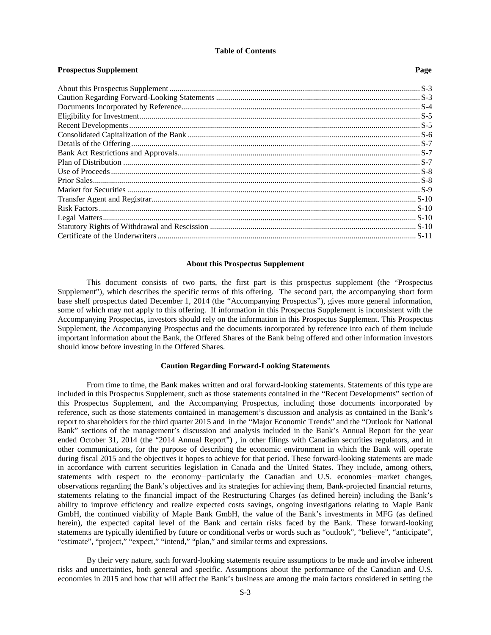### **Table of Contents**

**Prospectus Supplement** Page

# **About this Prospectus Supplement**

This document consists of two parts, the first part is this prospectus supplement (the "Prospectus Supplement"), which describes the specific terms of this offering. The second part, the accompanying short form base shelf prospectus dated December 1, 2014 (the "Accompanying Prospectus"), gives more general information, some of which may not apply to this offering. If information in this Prospectus Supplement is inconsistent with the Accompanying Prospectus, investors should rely on the information in this Prospectus Supplement. This Prospectus Supplement, the Accompanying Prospectus and the documents incorporated by reference into each of them include important information about the Bank, the Offered Shares of the Bank being offered and other information investors should know before investing in the Offered Shares.

### **Caution Regarding Forward-Looking Statements**

From time to time, the Bank makes written and oral forward-looking statements. Statements of this type are included in this Prospectus Supplement, such as those statements contained in the "Recent Developments" section of this Prospectus Supplement, and the Accompanying Prospectus, including those documents incorporated by reference, such as those statements contained in management's discussion and analysis as contained in the Bank's report to shareholders for the third quarter 2015 and in the "Major Economic Trends" and the "Outlook for National Bank" sections of the management's discussion and analysis included in the Bank's Annual Report for the year ended October 31, 2014 (the "2014 Annual Report") , in other filings with Canadian securities regulators, and in other communications, for the purpose of describing the economic environment in which the Bank will operate during fiscal 2015 and the objectives it hopes to achieve for that period. These forward-looking statements are made in accordance with current securities legislation in Canada and the United States. They include, among others, statements with respect to the economy—particularly the Canadian and U.S. economies—market changes, observations regarding the Bank's objectives and its strategies for achieving them, Bank-projected financial returns, statements relating to the financial impact of the Restructuring Charges (as defined herein) including the Bank's ability to improve efficiency and realize expected costs savings, ongoing investigations relating to Maple Bank GmbH, the continued viability of Maple Bank GmbH, the value of the Bank's investments in MFG (as defined herein), the expected capital level of the Bank and certain risks faced by the Bank. These forward-looking statements are typically identified by future or conditional verbs or words such as "outlook", "believe", "anticipate", "estimate", "project," "expect," "intend," "plan," and similar terms and expressions.

By their very nature, such forward-looking statements require assumptions to be made and involve inherent risks and uncertainties, both general and specific. Assumptions about the performance of the Canadian and U.S. economies in 2015 and how that will affect the Bank's business are among the main factors considered in setting the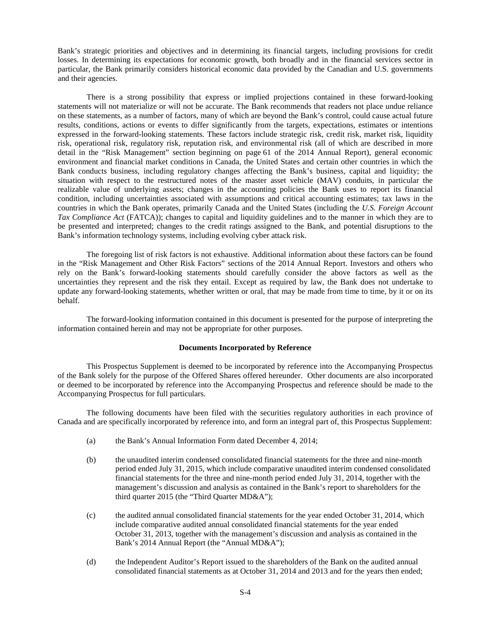Bank's strategic priorities and objectives and in determining its financial targets, including provisions for credit losses. In determining its expectations for economic growth, both broadly and in the financial services sector in particular, the Bank primarily considers historical economic data provided by the Canadian and U.S. governments and their agencies.

There is a strong possibility that express or implied projections contained in these forward-looking statements will not materialize or will not be accurate. The Bank recommends that readers not place undue reliance on these statements, as a number of factors, many of which are beyond the Bank's control, could cause actual future results, conditions, actions or events to differ significantly from the targets, expectations, estimates or intentions expressed in the forward-looking statements. These factors include strategic risk, credit risk, market risk, liquidity risk, operational risk, regulatory risk, reputation risk, and environmental risk (all of which are described in more detail in the "Risk Management" section beginning on page 61 of the 2014 Annual Report), general economic environment and financial market conditions in Canada, the United States and certain other countries in which the Bank conducts business, including regulatory changes affecting the Bank's business, capital and liquidity; the situation with respect to the restructured notes of the master asset vehicle (MAV) conduits, in particular the realizable value of underlying assets; changes in the accounting policies the Bank uses to report its financial condition, including uncertainties associated with assumptions and critical accounting estimates; tax laws in the countries in which the Bank operates, primarily Canada and the United States (including the *U.S. Foreign Account Tax Compliance Act* (FATCA)); changes to capital and liquidity guidelines and to the manner in which they are to be presented and interpreted; changes to the credit ratings assigned to the Bank, and potential disruptions to the Bank's information technology systems, including evolving cyber attack risk.

The foregoing list of risk factors is not exhaustive. Additional information about these factors can be found in the "Risk Management and Other Risk Factors" sections of the 2014 Annual Report. Investors and others who rely on the Bank's forward-looking statements should carefully consider the above factors as well as the uncertainties they represent and the risk they entail. Except as required by law, the Bank does not undertake to update any forward-looking statements, whether written or oral, that may be made from time to time, by it or on its behalf.

The forward-looking information contained in this document is presented for the purpose of interpreting the information contained herein and may not be appropriate for other purposes.

# **Documents Incorporated by Reference**

This Prospectus Supplement is deemed to be incorporated by reference into the Accompanying Prospectus of the Bank solely for the purpose of the Offered Shares offered hereunder. Other documents are also incorporated or deemed to be incorporated by reference into the Accompanying Prospectus and reference should be made to the Accompanying Prospectus for full particulars.

The following documents have been filed with the securities regulatory authorities in each province of Canada and are specifically incorporated by reference into, and form an integral part of, this Prospectus Supplement:

- (a) the Bank's Annual Information Form dated December 4, 2014;
- (b) the unaudited interim condensed consolidated financial statements for the three and nine-month period ended July 31, 2015, which include comparative unaudited interim condensed consolidated financial statements for the three and nine-month period ended July 31, 2014, together with the management's discussion and analysis as contained in the Bank's report to shareholders for the third quarter 2015 (the "Third Quarter MD&A");
- (c) the audited annual consolidated financial statements for the year ended October 31, 2014, which include comparative audited annual consolidated financial statements for the year ended October 31, 2013, together with the management's discussion and analysis as contained in the Bank's 2014 Annual Report (the "Annual MD&A");
- (d) the Independent Auditor's Report issued to the shareholders of the Bank on the audited annual consolidated financial statements as at October 31, 2014 and 2013 and for the years then ended;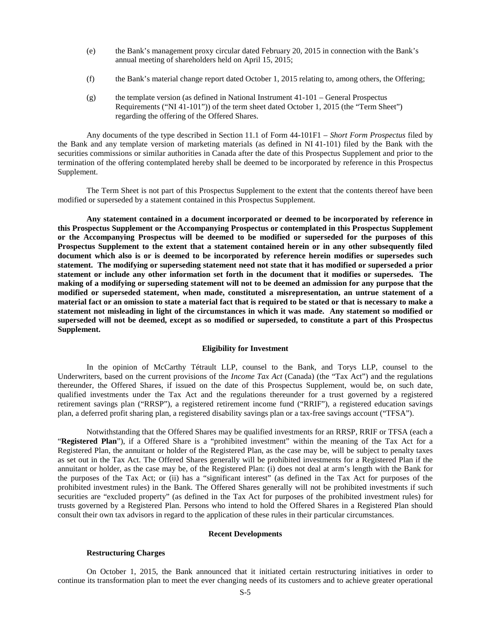- (e) the Bank's management proxy circular dated February 20, 2015 in connection with the Bank's annual meeting of shareholders held on April 15, 2015;
- (f) the Bank's material change report dated October 1, 2015 relating to, among others, the Offering;
- $(g)$  the template version (as defined in National Instrument 41-101 General Prospectus Requirements ("NI 41-101")) of the term sheet dated October 1, 2015 (the "Term Sheet") regarding the offering of the Offered Shares.

Any documents of the type described in Section 11.1 of Form 44-101F1 – *Short Form Prospectus* filed by the Bank and any template version of marketing materials (as defined in NI 41-101) filed by the Bank with the securities commissions or similar authorities in Canada after the date of this Prospectus Supplement and prior to the termination of the offering contemplated hereby shall be deemed to be incorporated by reference in this Prospectus Supplement.

The Term Sheet is not part of this Prospectus Supplement to the extent that the contents thereof have been modified or superseded by a statement contained in this Prospectus Supplement.

**Any statement contained in a document incorporated or deemed to be incorporated by reference in this Prospectus Supplement or the Accompanying Prospectus or contemplated in this Prospectus Supplement or the Accompanying Prospectus will be deemed to be modified or superseded for the purposes of this Prospectus Supplement to the extent that a statement contained herein or in any other subsequently filed document which also is or is deemed to be incorporated by reference herein modifies or supersedes such statement. The modifying or superseding statement need not state that it has modified or superseded a prior statement or include any other information set forth in the document that it modifies or supersedes. The making of a modifying or superseding statement will not to be deemed an admission for any purpose that the modified or superseded statement, when made, constituted a misrepresentation, an untrue statement of a material fact or an omission to state a material fact that is required to be stated or that is necessary to make a statement not misleading in light of the circumstances in which it was made. Any statement so modified or superseded will not be deemed, except as so modified or superseded, to constitute a part of this Prospectus Supplement.**

# **Eligibility for Investment**

In the opinion of McCarthy Tétrault LLP, counsel to the Bank, and Torys LLP, counsel to the Underwriters, based on the current provisions of the *Income Tax Act* (Canada) (the "Tax Act") and the regulations thereunder, the Offered Shares, if issued on the date of this Prospectus Supplement, would be, on such date, qualified investments under the Tax Act and the regulations thereunder for a trust governed by a registered retirement savings plan ("RRSP"), a registered retirement income fund ("RRIF"), a registered education savings plan, a deferred profit sharing plan, a registered disability savings plan or a tax-free savings account ("TFSA").

Notwithstanding that the Offered Shares may be qualified investments for an RRSP, RRIF or TFSA (each a "**Registered Plan**"), if a Offered Share is a "prohibited investment" within the meaning of the Tax Act for a Registered Plan, the annuitant or holder of the Registered Plan, as the case may be, will be subject to penalty taxes as set out in the Tax Act. The Offered Shares generally will be prohibited investments for a Registered Plan if the annuitant or holder, as the case may be, of the Registered Plan: (i) does not deal at arm's length with the Bank for the purposes of the Tax Act; or (ii) has a "significant interest" (as defined in the Tax Act for purposes of the prohibited investment rules) in the Bank. The Offered Shares generally will not be prohibited investments if such securities are "excluded property" (as defined in the Tax Act for purposes of the prohibited investment rules) for trusts governed by a Registered Plan. Persons who intend to hold the Offered Shares in a Registered Plan should consult their own tax advisors in regard to the application of these rules in their particular circumstances.

### **Recent Developments**

# **Restructuring Charges**

On October 1, 2015, the Bank announced that it initiated certain restructuring initiatives in order to continue its transformation plan to meet the ever changing needs of its customers and to achieve greater operational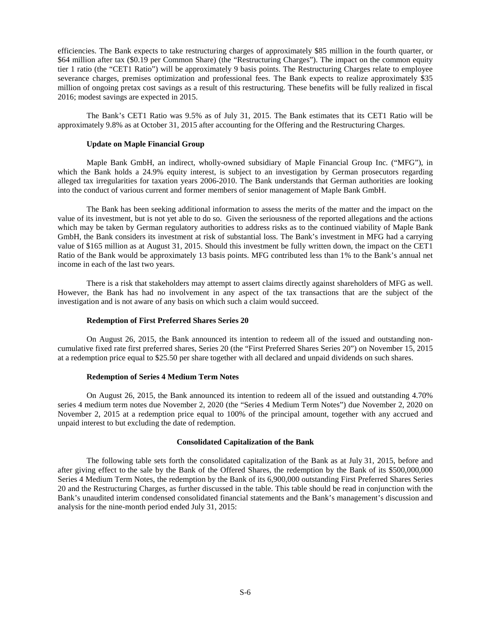efficiencies. The Bank expects to take restructuring charges of approximately \$85 million in the fourth quarter, or \$64 million after tax (\$0.19 per Common Share) (the "Restructuring Charges"). The impact on the common equity tier 1 ratio (the "CET1 Ratio") will be approximately 9 basis points. The Restructuring Charges relate to employee severance charges, premises optimization and professional fees. The Bank expects to realize approximately \$35 million of ongoing pretax cost savings as a result of this restructuring. These benefits will be fully realized in fiscal 2016; modest savings are expected in 2015.

The Bank's CET1 Ratio was 9.5% as of July 31, 2015. The Bank estimates that its CET1 Ratio will be approximately 9.8% as at October 31, 2015 after accounting for the Offering and the Restructuring Charges.

### **Update on Maple Financial Group**

Maple Bank GmbH, an indirect, wholly-owned subsidiary of Maple Financial Group Inc. ("MFG"), in which the Bank holds a 24.9% equity interest, is subject to an investigation by German prosecutors regarding alleged tax irregularities for taxation years 2006-2010. The Bank understands that German authorities are looking into the conduct of various current and former members of senior management of Maple Bank GmbH.

The Bank has been seeking additional information to assess the merits of the matter and the impact on the value of its investment, but is not yet able to do so. Given the seriousness of the reported allegations and the actions which may be taken by German regulatory authorities to address risks as to the continued viability of Maple Bank GmbH, the Bank considers its investment at risk of substantial loss. The Bank's investment in MFG had a carrying value of \$165 million as at August 31, 2015. Should this investment be fully written down, the impact on the CET1 Ratio of the Bank would be approximately 13 basis points. MFG contributed less than 1% to the Bank's annual net income in each of the last two years.

There is a risk that stakeholders may attempt to assert claims directly against shareholders of MFG as well. However, the Bank has had no involvement in any aspect of the tax transactions that are the subject of the investigation and is not aware of any basis on which such a claim would succeed.

### **Redemption of First Preferred Shares Series 20**

On August 26, 2015, the Bank announced its intention to redeem all of the issued and outstanding noncumulative fixed rate first preferred shares, Series 20 (the "First Preferred Shares Series 20") on November 15, 2015 at a redemption price equal to \$25.50 per share together with all declared and unpaid dividends on such shares.

### **Redemption of Series 4 Medium Term Notes**

On August 26, 2015, the Bank announced its intention to redeem all of the issued and outstanding 4.70% series 4 medium term notes due November 2, 2020 (the "Series 4 Medium Term Notes") due November 2, 2020 on November 2, 2015 at a redemption price equal to 100% of the principal amount, together with any accrued and unpaid interest to but excluding the date of redemption.

### **Consolidated Capitalization of the Bank**

The following table sets forth the consolidated capitalization of the Bank as at July 31, 2015, before and after giving effect to the sale by the Bank of the Offered Shares, the redemption by the Bank of its \$500,000,000 Series 4 Medium Term Notes, the redemption by the Bank of its 6,900,000 outstanding First Preferred Shares Series 20 and the Restructuring Charges, as further discussed in the table. This table should be read in conjunction with the Bank's unaudited interim condensed consolidated financial statements and the Bank's management's discussion and analysis for the nine-month period ended July 31, 2015: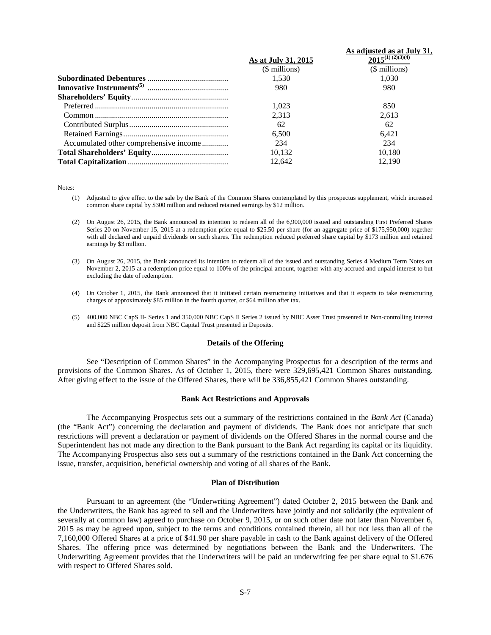|                                        |                     | As adjusted as at July 31, |
|----------------------------------------|---------------------|----------------------------|
|                                        | As at July 31, 2015 | $2015^{(1)}$ $(2)(3)(4)$   |
|                                        | (\$ millions)       | (\$ millions)              |
|                                        | 1.530               | 1.030                      |
|                                        | 980                 | 980                        |
|                                        |                     |                            |
|                                        | 1.023               | 850                        |
|                                        | 2,313               | 2,613                      |
|                                        | 62                  | 62                         |
|                                        | 6,500               | 6.421                      |
| Accumulated other comprehensive income | 234                 | 234                        |
|                                        | 10.132              | 10.180                     |
|                                        | 12.642              | 12.190                     |

#### Notes:

 $\frac{1}{2}$  ,  $\frac{1}{2}$  ,  $\frac{1}{2}$  ,  $\frac{1}{2}$  ,  $\frac{1}{2}$  ,  $\frac{1}{2}$  ,  $\frac{1}{2}$  ,  $\frac{1}{2}$  ,  $\frac{1}{2}$  ,  $\frac{1}{2}$  ,  $\frac{1}{2}$  ,  $\frac{1}{2}$  ,  $\frac{1}{2}$  ,  $\frac{1}{2}$  ,  $\frac{1}{2}$  ,  $\frac{1}{2}$  ,  $\frac{1}{2}$  ,  $\frac{1}{2}$  ,  $\frac{1$ 

- (1) Adjusted to give effect to the sale by the Bank of the Common Shares contemplated by this prospectus supplement, which increased common share capital by \$300 million and reduced retained earnings by \$12 million.
- (2) On August 26, 2015, the Bank announced its intention to redeem all of the 6,900,000 issued and outstanding First Preferred Shares Series 20 on November 15, 2015 at a redemption price equal to \$25.50 per share (for an aggregate price of \$175,950,000) together with all declared and unpaid dividends on such shares. The redemption reduced preferred share capital by \$173 million and retained earnings by \$3 million.
- (3) On August 26, 2015, the Bank announced its intention to redeem all of the issued and outstanding Series 4 Medium Term Notes on November 2, 2015 at a redemption price equal to 100% of the principal amount, together with any accrued and unpaid interest to but excluding the date of redemption.
- (4) On October 1, 2015, the Bank announced that it initiated certain restructuring initiatives and that it expects to take restructuring charges of approximately \$85 million in the fourth quarter, or \$64 million after tax.
- (5) 400,000 NBC CapS II- Series 1 and 350,000 NBC CapS II Series 2 issued by NBC Asset Trust presented in Non-controlling interest and \$225 million deposit from NBC Capital Trust presented in Deposits.

# **Details of the Offering**

See "Description of Common Shares" in the Accompanying Prospectus for a description of the terms and provisions of the Common Shares. As of October 1, 2015, there were 329,695,421 Common Shares outstanding. After giving effect to the issue of the Offered Shares, there will be 336,855,421 Common Shares outstanding.

### **Bank Act Restrictions and Approvals**

The Accompanying Prospectus sets out a summary of the restrictions contained in the *Bank Act* (Canada) (the "Bank Act") concerning the declaration and payment of dividends. The Bank does not anticipate that such restrictions will prevent a declaration or payment of dividends on the Offered Shares in the normal course and the Superintendent has not made any direction to the Bank pursuant to the Bank Act regarding its capital or its liquidity. The Accompanying Prospectus also sets out a summary of the restrictions contained in the Bank Act concerning the issue, transfer, acquisition, beneficial ownership and voting of all shares of the Bank.

### **Plan of Distribution**

Pursuant to an agreement (the "Underwriting Agreement") dated October 2, 2015 between the Bank and the Underwriters, the Bank has agreed to sell and the Underwriters have jointly and not solidarily (the equivalent of severally at common law) agreed to purchase on October 9, 2015, or on such other date not later than November 6, 2015 as may be agreed upon, subject to the terms and conditions contained therein, all but not less than all of the 7,160,000 Offered Shares at a price of \$41.90 per share payable in cash to the Bank against delivery of the Offered Shares. The offering price was determined by negotiations between the Bank and the Underwriters. The Underwriting Agreement provides that the Underwriters will be paid an underwriting fee per share equal to \$1.676 with respect to Offered Shares sold.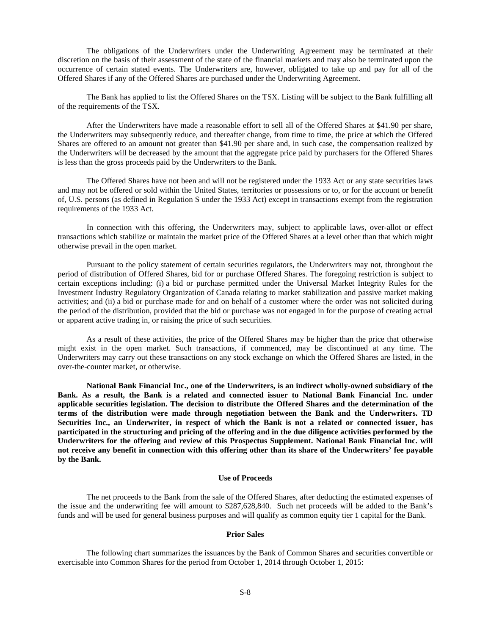The obligations of the Underwriters under the Underwriting Agreement may be terminated at their discretion on the basis of their assessment of the state of the financial markets and may also be terminated upon the occurrence of certain stated events. The Underwriters are, however, obligated to take up and pay for all of the Offered Shares if any of the Offered Shares are purchased under the Underwriting Agreement.

The Bank has applied to list the Offered Shares on the TSX. Listing will be subject to the Bank fulfilling all of the requirements of the TSX.

After the Underwriters have made a reasonable effort to sell all of the Offered Shares at \$41.90 per share, the Underwriters may subsequently reduce, and thereafter change, from time to time, the price at which the Offered Shares are offered to an amount not greater than \$41.90 per share and, in such case, the compensation realized by the Underwriters will be decreased by the amount that the aggregate price paid by purchasers for the Offered Shares is less than the gross proceeds paid by the Underwriters to the Bank.

The Offered Shares have not been and will not be registered under the 1933 Act or any state securities laws and may not be offered or sold within the United States, territories or possessions or to, or for the account or benefit of, U.S. persons (as defined in Regulation S under the 1933 Act) except in transactions exempt from the registration requirements of the 1933 Act.

In connection with this offering, the Underwriters may, subject to applicable laws, over-allot or effect transactions which stabilize or maintain the market price of the Offered Shares at a level other than that which might otherwise prevail in the open market.

Pursuant to the policy statement of certain securities regulators, the Underwriters may not, throughout the period of distribution of Offered Shares, bid for or purchase Offered Shares. The foregoing restriction is subject to certain exceptions including: (i) a bid or purchase permitted under the Universal Market Integrity Rules for the Investment Industry Regulatory Organization of Canada relating to market stabilization and passive market making activities; and (ii) a bid or purchase made for and on behalf of a customer where the order was not solicited during the period of the distribution, provided that the bid or purchase was not engaged in for the purpose of creating actual or apparent active trading in, or raising the price of such securities.

As a result of these activities, the price of the Offered Shares may be higher than the price that otherwise might exist in the open market. Such transactions, if commenced, may be discontinued at any time. The Underwriters may carry out these transactions on any stock exchange on which the Offered Shares are listed, in the over-the-counter market, or otherwise.

**National Bank Financial Inc., one of the Underwriters, is an indirect wholly-owned subsidiary of the Bank. As a result, the Bank is a related and connected issuer to National Bank Financial Inc. under applicable securities legislation. The decision to distribute the Offered Shares and the determination of the terms of the distribution were made through negotiation between the Bank and the Underwriters. TD Securities Inc., an Underwriter, in respect of which the Bank is not a related or connected issuer, has participated in the structuring and pricing of the offering and in the due diligence activities performed by the Underwriters for the offering and review of this Prospectus Supplement. National Bank Financial Inc. will not receive any benefit in connection with this offering other than its share of the Underwriters' fee payable by the Bank.**

### **Use of Proceeds**

The net proceeds to the Bank from the sale of the Offered Shares, after deducting the estimated expenses of the issue and the underwriting fee will amount to \$287,628,840. Such net proceeds will be added to the Bank's funds and will be used for general business purposes and will qualify as common equity tier 1 capital for the Bank.

# **Prior Sales**

The following chart summarizes the issuances by the Bank of Common Shares and securities convertible or exercisable into Common Shares for the period from October 1, 2014 through October 1, 2015: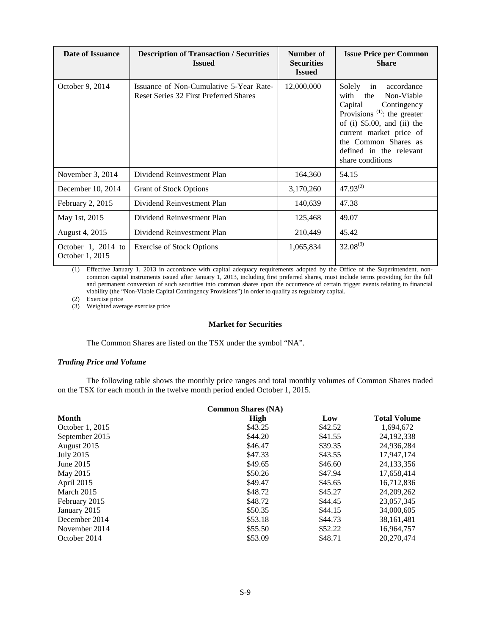| Date of Issuance                      | <b>Description of Transaction / Securities</b><br><b>Issued</b>                   | Number of<br><b>Securities</b><br><b>Issued</b> | <b>Issue Price per Common</b><br><b>Share</b>                                                                                                                                                                                                                                |
|---------------------------------------|-----------------------------------------------------------------------------------|-------------------------------------------------|------------------------------------------------------------------------------------------------------------------------------------------------------------------------------------------------------------------------------------------------------------------------------|
| October 9, 2014                       | Issuance of Non-Cumulative 5-Year Rate-<br>Reset Series 32 First Preferred Shares | 12,000,000                                      | Solely<br>accordance<br>in<br>with<br>Non-Viable<br>the<br>Capital<br>Contingency<br>Provisions <sup><math>(1)</math></sup> : the greater<br>of (i) $$5.00$ , and (ii) the<br>current market price of<br>the Common Shares as<br>defined in the relevant<br>share conditions |
| November 3, 2014                      | Dividend Reinvestment Plan                                                        | 164,360                                         | 54.15                                                                                                                                                                                                                                                                        |
| December 10, 2014                     | <b>Grant of Stock Options</b>                                                     | 3,170,260                                       | $47.93^{(2)}$                                                                                                                                                                                                                                                                |
| February 2, 2015                      | Dividend Reinvestment Plan                                                        | 140,639                                         | 47.38                                                                                                                                                                                                                                                                        |
| May 1st, 2015                         | Dividend Reinvestment Plan                                                        | 125,468                                         | 49.07                                                                                                                                                                                                                                                                        |
| August 4, 2015                        | Dividend Reinvestment Plan                                                        | 210,449                                         | 45.42                                                                                                                                                                                                                                                                        |
| October 1, 2014 to<br>October 1, 2015 | <b>Exercise of Stock Options</b>                                                  | 1,065,834                                       | $32.08^{(3)}$                                                                                                                                                                                                                                                                |

(1) Effective January 1, 2013 in accordance with capital adequacy requirements adopted by the Office of the Superintendent, noncommon capital instruments issued after January 1, 2013, including first preferred shares, must include terms providing for the full and permanent conversion of such securities into common shares upon the occurrence of certain trigger events relating to financial viability (the "Non-Viable Capital Contingency Provisions") in order to qualify as regulatory capital.

(2) Exercise price

(3) Weighted average exercise price

### **Market for Securities**

The Common Shares are listed on the TSX under the symbol "NA".

# *Trading Price and Volume*

The following table shows the monthly price ranges and total monthly volumes of Common Shares traded on the TSX for each month in the twelve month period ended October 1, 2015.

| <b>Common Shares (NA)</b> |         |         |                     |  |
|---------------------------|---------|---------|---------------------|--|
| Month                     | High    | Low     | <b>Total Volume</b> |  |
| October 1, 2015           | \$43.25 | \$42.52 | 1,694,672           |  |
| September 2015            | \$44.20 | \$41.55 | 24, 192, 338        |  |
| August 2015               | \$46.47 | \$39.35 | 24,936,284          |  |
| July 2015                 | \$47.33 | \$43.55 | 17.947.174          |  |
| June 2015                 | \$49.65 | \$46.60 | 24, 133, 356        |  |
| May 2015                  | \$50.26 | \$47.94 | 17,658,414          |  |
| April 2015                | \$49.47 | \$45.65 | 16,712,836          |  |
| March 2015                | \$48.72 | \$45.27 | 24, 209, 262        |  |
| February 2015             | \$48.72 | \$44.45 | 23,057,345          |  |
| January 2015              | \$50.35 | \$44.15 | 34,000,605          |  |
| December 2014             | \$53.18 | \$44.73 | 38, 161, 481        |  |
| November 2014             | \$55.50 | \$52.22 | 16,964,757          |  |
| October 2014              | \$53.09 | \$48.71 | 20,270,474          |  |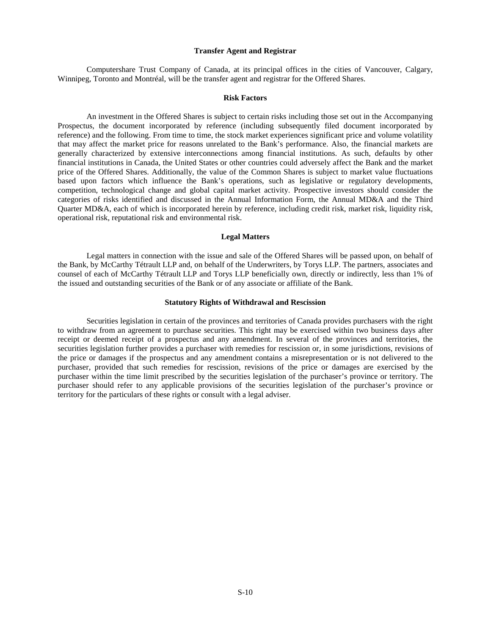### **Transfer Agent and Registrar**

Computershare Trust Company of Canada, at its principal offices in the cities of Vancouver, Calgary, Winnipeg, Toronto and Montréal, will be the transfer agent and registrar for the Offered Shares.

# **Risk Factors**

An investment in the Offered Shares is subject to certain risks including those set out in the Accompanying Prospectus, the document incorporated by reference (including subsequently filed document incorporated by reference) and the following. From time to time, the stock market experiences significant price and volume volatility that may affect the market price for reasons unrelated to the Bank's performance. Also, the financial markets are generally characterized by extensive interconnections among financial institutions. As such, defaults by other financial institutions in Canada, the United States or other countries could adversely affect the Bank and the market price of the Offered Shares. Additionally, the value of the Common Shares is subject to market value fluctuations based upon factors which influence the Bank's operations, such as legislative or regulatory developments, competition, technological change and global capital market activity. Prospective investors should consider the categories of risks identified and discussed in the Annual Information Form, the Annual MD&A and the Third Quarter MD&A, each of which is incorporated herein by reference, including credit risk, market risk, liquidity risk, operational risk, reputational risk and environmental risk.

### **Legal Matters**

Legal matters in connection with the issue and sale of the Offered Shares will be passed upon, on behalf of the Bank, by McCarthy Tétrault LLP and, on behalf of the Underwriters, by Torys LLP. The partners, associates and counsel of each of McCarthy Tétrault LLP and Torys LLP beneficially own, directly or indirectly, less than 1% of the issued and outstanding securities of the Bank or of any associate or affiliate of the Bank.

### **Statutory Rights of Withdrawal and Rescission**

Securities legislation in certain of the provinces and territories of Canada provides purchasers with the right to withdraw from an agreement to purchase securities. This right may be exercised within two business days after receipt or deemed receipt of a prospectus and any amendment. In several of the provinces and territories, the securities legislation further provides a purchaser with remedies for rescission or, in some jurisdictions, revisions of the price or damages if the prospectus and any amendment contains a misrepresentation or is not delivered to the purchaser, provided that such remedies for rescission, revisions of the price or damages are exercised by the purchaser within the time limit prescribed by the securities legislation of the purchaser's province or territory. The purchaser should refer to any applicable provisions of the securities legislation of the purchaser's province or territory for the particulars of these rights or consult with a legal adviser.